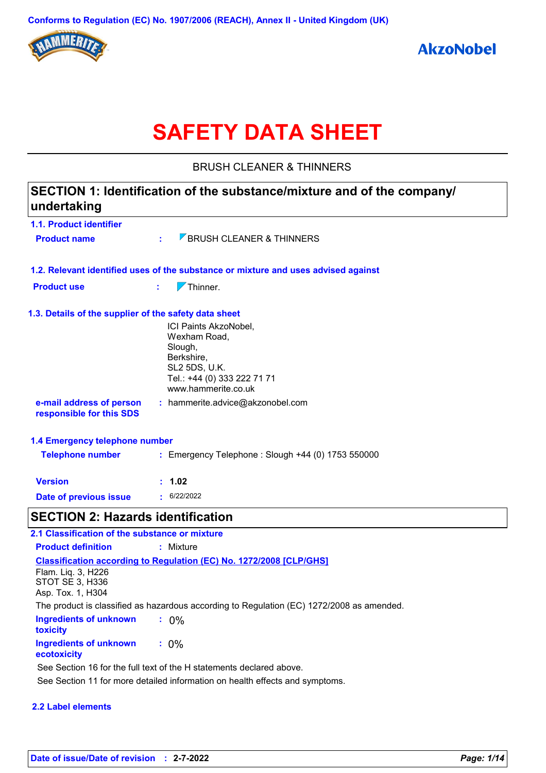

# **SAFETY DATA SHEET**

BRUSH CLEANER & THINNERS

| undertaking                                                | SECTION 1: Identification of the substance/mixture and of the company/                                                                       |
|------------------------------------------------------------|----------------------------------------------------------------------------------------------------------------------------------------------|
| 1.1. Product identifier                                    |                                                                                                                                              |
| <b>Product name</b>                                        | <b>7 BRUSH CLEANER &amp; THINNERS</b>                                                                                                        |
|                                                            | 1.2. Relevant identified uses of the substance or mixture and uses advised against                                                           |
| <b>Product use</b>                                         | $\nabla$ Thinner.<br>÷.                                                                                                                      |
| 1.3. Details of the supplier of the safety data sheet      | ICI Paints AkzoNobel,<br>Wexham Road,<br>Slough,<br>Berkshire,<br><b>SL2 5DS, U.K.</b><br>Tel.: +44 (0) 333 222 71 71<br>www.hammerite.co.uk |
| e-mail address of person<br>responsible for this SDS       | : hammerite.advice@akzonobel.com                                                                                                             |
| 1.4 Emergency telephone number                             |                                                                                                                                              |
| <b>Telephone number</b>                                    | : Emergency Telephone : Slough +44 (0) 1753 550000                                                                                           |
| <b>Version</b>                                             | 1.02                                                                                                                                         |
| Date of previous issue                                     | $\cdot$ 6/22/2022                                                                                                                            |
| <b>SECTION 2: Hazards identification</b>                   |                                                                                                                                              |
| 2.1 Classification of the substance or mixture             |                                                                                                                                              |
| <b>Product definition</b>                                  | : Mixture                                                                                                                                    |
| Flam. Liq. 3, H226<br>STOT SE 3, H336<br>Asp. Tox. 1, H304 | Classification according to Regulation (EC) No. 1272/2008 [CLP/GHS]                                                                          |

The product is classified as hazardous according to Regulation (EC) 1272/2008 as amended.

| Ingredients of unknown<br>toxicity    | $: 0\%$ |
|---------------------------------------|---------|
| Ingredients of unknown<br>ecotoxicity | $: 0\%$ |

See Section 11 for more detailed information on health effects and symptoms. See Section 16 for the full text of the H statements declared above.

#### **2.2 Label elements**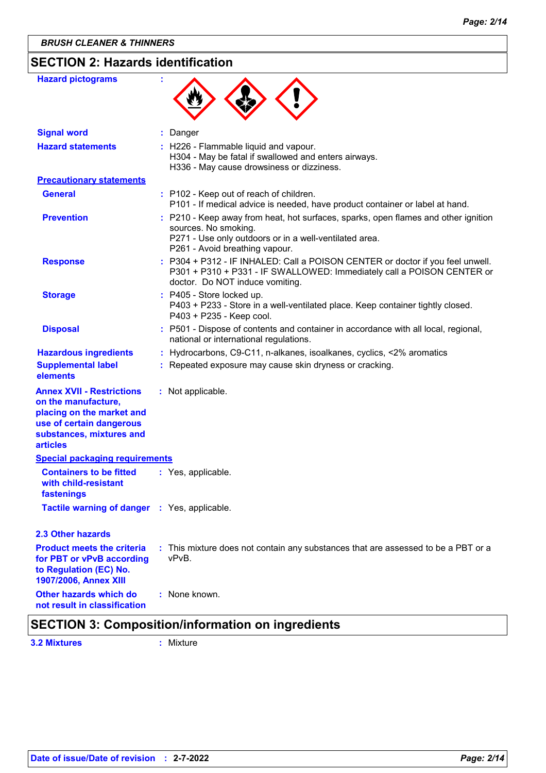| <b>Hazard pictograms</b>                                                                                                                                 |                                                                                                                                                                                                        |
|----------------------------------------------------------------------------------------------------------------------------------------------------------|--------------------------------------------------------------------------------------------------------------------------------------------------------------------------------------------------------|
| <b>Signal word</b>                                                                                                                                       | Danger                                                                                                                                                                                                 |
| <b>Hazard statements</b>                                                                                                                                 | : H226 - Flammable liquid and vapour.<br>H304 - May be fatal if swallowed and enters airways.<br>H336 - May cause drowsiness or dizziness.                                                             |
| <b>Precautionary statements</b>                                                                                                                          |                                                                                                                                                                                                        |
| <b>General</b>                                                                                                                                           | : P102 - Keep out of reach of children.<br>P101 - If medical advice is needed, have product container or label at hand.                                                                                |
| <b>Prevention</b>                                                                                                                                        | : P210 - Keep away from heat, hot surfaces, sparks, open flames and other ignition<br>sources. No smoking.<br>P271 - Use only outdoors or in a well-ventilated area.<br>P261 - Avoid breathing vapour. |
| <b>Response</b>                                                                                                                                          | : P304 + P312 - IF INHALED: Call a POISON CENTER or doctor if you feel unwell.<br>P301 + P310 + P331 - IF SWALLOWED: Immediately call a POISON CENTER or<br>doctor. Do NOT induce vomiting.            |
| <b>Storage</b>                                                                                                                                           | : P405 - Store locked up.<br>P403 + P233 - Store in a well-ventilated place. Keep container tightly closed.<br>P403 + P235 - Keep cool.                                                                |
| <b>Disposal</b>                                                                                                                                          | : P501 - Dispose of contents and container in accordance with all local, regional,<br>national or international regulations.                                                                           |
| <b>Hazardous ingredients</b><br><b>Supplemental label</b><br>elements                                                                                    | : Hydrocarbons, C9-C11, n-alkanes, isoalkanes, cyclics, <2% aromatics<br>: Repeated exposure may cause skin dryness or cracking.                                                                       |
| <b>Annex XVII - Restrictions</b><br>on the manufacture,<br>placing on the market and<br>use of certain dangerous<br>substances, mixtures and<br>articles | : Not applicable.                                                                                                                                                                                      |
| <b>Special packaging requirements</b>                                                                                                                    |                                                                                                                                                                                                        |
| <b>Containers to be fitted</b><br>with child-resistant<br>fastenings                                                                                     | : Yes, applicable.                                                                                                                                                                                     |
| Tactile warning of danger : Yes, applicable.                                                                                                             |                                                                                                                                                                                                        |
| 2.3 Other hazards                                                                                                                                        |                                                                                                                                                                                                        |
| <b>Product meets the criteria</b><br>for PBT or vPvB according<br>to Regulation (EC) No.<br>1907/2006, Annex XIII                                        | : This mixture does not contain any substances that are assessed to be a PBT or a<br>vPvB.                                                                                                             |
| Other hazards which do<br>not result in classification                                                                                                   | : None known.<br>$\mathbf{r}$ and $\mathbf{r}$ are the set of the set of $\mathbf{r}$                                                                                                                  |

## **SECTION 3: Composition/information on ingredients 3.2 Mixtures :** Mixture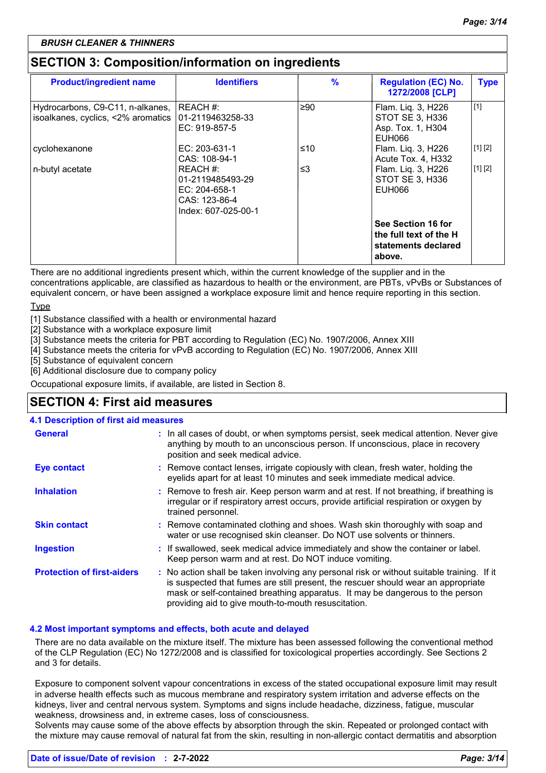## **SECTION 3: Composition/information on ingredients**

| <b>Product/ingredient name</b>                                         | <b>Identifiers</b>                                                                    | $\frac{9}{6}$ | <b>Regulation (EC) No.</b><br>1272/2008 [CLP]                                 | <b>Type</b> |
|------------------------------------------------------------------------|---------------------------------------------------------------------------------------|---------------|-------------------------------------------------------------------------------|-------------|
| Hydrocarbons, C9-C11, n-alkanes,<br>isoalkanes, cyclics, <2% aromatics | REACH #:<br>101-2119463258-33<br>EC: 919-857-5                                        | ≥90           | Flam. Liq. 3, H226<br>STOT SE 3, H336<br>Asp. Tox. 1, H304<br>EUH066          | $[1]$       |
| cyclohexanone                                                          | EC: 203-631-1<br>CAS: 108-94-1                                                        | ≤10           | Flam. Liq. 3, H226<br>Acute Tox. 4, H332                                      | [1] [2]     |
| n-butyl acetate                                                        | REACH #:<br>01-2119485493-29<br>EC: 204-658-1<br>CAS: 123-86-4<br>Index: 607-025-00-1 | $\leq$ 3      | Flam. Liq. 3, H226<br>STOT SE 3, H336<br>EUH066                               | [1] [2]     |
|                                                                        |                                                                                       |               | See Section 16 for<br>the full text of the H<br>statements declared<br>above. |             |

There are no additional ingredients present which, within the current knowledge of the supplier and in the concentrations applicable, are classified as hazardous to health or the environment, are PBTs, vPvBs or Substances of equivalent concern, or have been assigned a workplace exposure limit and hence require reporting in this section.

**Type** 

[1] Substance classified with a health or environmental hazard

[2] Substance with a workplace exposure limit

[3] Substance meets the criteria for PBT according to Regulation (EC) No. 1907/2006, Annex XIII

[4] Substance meets the criteria for vPvB according to Regulation (EC) No. 1907/2006, Annex XIII

[5] Substance of equivalent concern

[6] Additional disclosure due to company policy

Occupational exposure limits, if available, are listed in Section 8.

## **SECTION 4: First aid measures**

#### **4.1 Description of first aid measures**

| <b>General</b>                    | : In all cases of doubt, or when symptoms persist, seek medical attention. Never give<br>anything by mouth to an unconscious person. If unconscious, place in recovery<br>position and seek medical advice.                                                                                                             |
|-----------------------------------|-------------------------------------------------------------------------------------------------------------------------------------------------------------------------------------------------------------------------------------------------------------------------------------------------------------------------|
| <b>Eye contact</b>                | : Remove contact lenses, irrigate copiously with clean, fresh water, holding the<br>eyelids apart for at least 10 minutes and seek immediate medical advice.                                                                                                                                                            |
| <b>Inhalation</b>                 | : Remove to fresh air. Keep person warm and at rest. If not breathing, if breathing is<br>irregular or if respiratory arrest occurs, provide artificial respiration or oxygen by<br>trained personnel.                                                                                                                  |
| <b>Skin contact</b>               | : Remove contaminated clothing and shoes. Wash skin thoroughly with soap and<br>water or use recognised skin cleanser. Do NOT use solvents or thinners.                                                                                                                                                                 |
| <b>Ingestion</b>                  | : If swallowed, seek medical advice immediately and show the container or label.<br>Keep person warm and at rest. Do NOT induce vomiting.                                                                                                                                                                               |
| <b>Protection of first-aiders</b> | : No action shall be taken involving any personal risk or without suitable training. If it<br>is suspected that fumes are still present, the rescuer should wear an appropriate<br>mask or self-contained breathing apparatus. It may be dangerous to the person<br>providing aid to give mouth-to-mouth resuscitation. |

#### **4.2 Most important symptoms and effects, both acute and delayed**

There are no data available on the mixture itself. The mixture has been assessed following the conventional method of the CLP Regulation (EC) No 1272/2008 and is classified for toxicological properties accordingly. See Sections 2 and 3 for details.

Exposure to component solvent vapour concentrations in excess of the stated occupational exposure limit may result in adverse health effects such as mucous membrane and respiratory system irritation and adverse effects on the kidneys, liver and central nervous system. Symptoms and signs include headache, dizziness, fatigue, muscular weakness, drowsiness and, in extreme cases, loss of consciousness.

Solvents may cause some of the above effects by absorption through the skin. Repeated or prolonged contact with the mixture may cause removal of natural fat from the skin, resulting in non-allergic contact dermatitis and absorption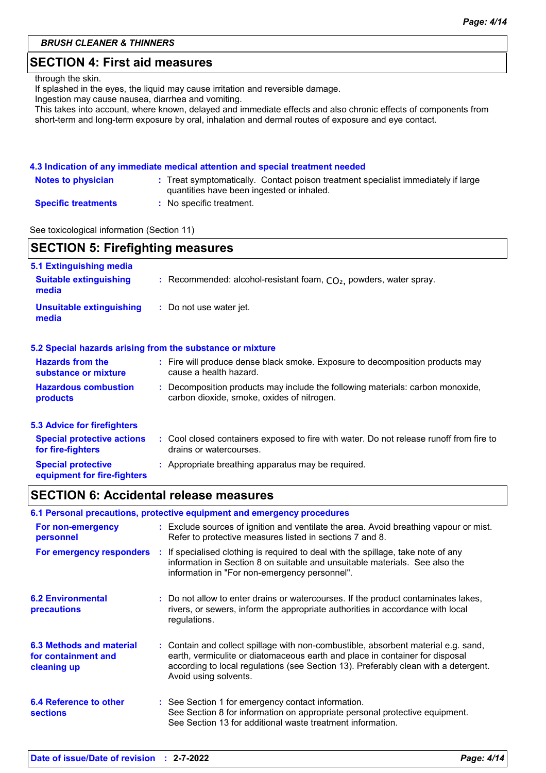#### *BRUSH CLEANER & THINNERS*

## **SECTION 4: First aid measures**

through the skin.

If splashed in the eyes, the liquid may cause irritation and reversible damage.

Ingestion may cause nausea, diarrhea and vomiting.

This takes into account, where known, delayed and immediate effects and also chronic effects of components from short-term and long-term exposure by oral, inhalation and dermal routes of exposure and eye contact.

#### **4.3 Indication of any immediate medical attention and special treatment needed**

| <b>Notes to physician</b>  | : Treat symptomatically. Contact poison treatment specialist immediately if large<br>quantities have been ingested or inhaled. |
|----------------------------|--------------------------------------------------------------------------------------------------------------------------------|
| <b>Specific treatments</b> | $\colon\,$ No specific treatment.                                                                                              |

See toxicological information (Section 11)

| <b>SECTION 5: Firefighting measures</b>                           |                                                                                                                              |  |  |  |
|-------------------------------------------------------------------|------------------------------------------------------------------------------------------------------------------------------|--|--|--|
| 5.1 Extinguishing media<br><b>Suitable extinguishing</b><br>media | : Recommended: alcohol-resistant foam, $CO2$ , powders, water spray.                                                         |  |  |  |
| <b>Unsuitable extinguishing</b><br>media                          | : Do not use water jet.                                                                                                      |  |  |  |
|                                                                   | 5.2 Special hazards arising from the substance or mixture                                                                    |  |  |  |
| <b>Hazards from the</b><br>substance or mixture                   | : Fire will produce dense black smoke. Exposure to decomposition products may<br>cause a health hazard.                      |  |  |  |
| <b>Hazardous combustion</b><br>products                           | : Decomposition products may include the following materials: carbon monoxide,<br>carbon dioxide, smoke, oxides of nitrogen. |  |  |  |
| <b>5.3 Advice for firefighters</b>                                |                                                                                                                              |  |  |  |
| <b>Special protective actions</b><br>for fire-fighters            | : Cool closed containers exposed to fire with water. Do not release runoff from fire to<br>drains or watercourses.           |  |  |  |
| <b>Special protective</b><br>equipment for fire-fighters          | : Appropriate breathing apparatus may be required.                                                                           |  |  |  |

## **SECTION 6: Accidental release measures**

|                                                                | 6.1 Personal precautions, protective equipment and emergency procedures                                                                                                                                                                                                            |
|----------------------------------------------------------------|------------------------------------------------------------------------------------------------------------------------------------------------------------------------------------------------------------------------------------------------------------------------------------|
| For non-emergency<br>personnel                                 | : Exclude sources of ignition and ventilate the area. Avoid breathing vapour or mist.<br>Refer to protective measures listed in sections 7 and 8.                                                                                                                                  |
| For emergency responders                                       | : If specialised clothing is required to deal with the spillage, take note of any<br>information in Section 8 on suitable and unsuitable materials. See also the<br>information in "For non-emergency personnel".                                                                  |
| <b>6.2 Environmental</b><br>precautions                        | : Do not allow to enter drains or watercourses. If the product contaminates lakes,<br>rivers, or sewers, inform the appropriate authorities in accordance with local<br>regulations.                                                                                               |
| 6.3 Methods and material<br>for containment and<br>cleaning up | : Contain and collect spillage with non-combustible, absorbent material e.g. sand,<br>earth, vermiculite or diatomaceous earth and place in container for disposal<br>according to local regulations (see Section 13). Preferably clean with a detergent.<br>Avoid using solvents. |
| 6.4 Reference to other<br><b>sections</b>                      | : See Section 1 for emergency contact information.<br>See Section 8 for information on appropriate personal protective equipment.<br>See Section 13 for additional waste treatment information.                                                                                    |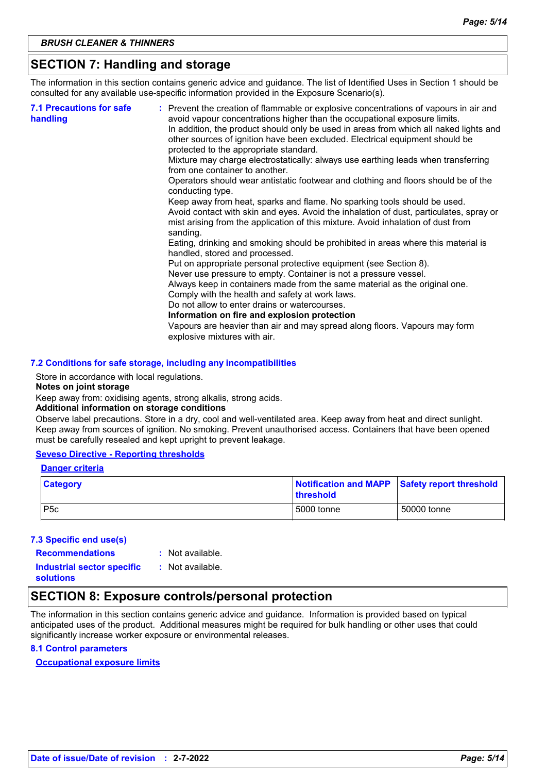## **SECTION 7: Handling and storage**

The information in this section contains generic advice and guidance. The list of Identified Uses in Section 1 should be consulted for any available use-specific information provided in the Exposure Scenario(s).

| mist arising from the application of this mixture. Avoid inhalation of dust from<br>sanding.<br>Eating, drinking and smoking should be prohibited in areas where this material is<br>handled, stored and processed.<br>Put on appropriate personal protective equipment (see Section 8).<br>Never use pressure to empty. Container is not a pressure vessel.<br>Always keep in containers made from the same material as the original one.<br>Comply with the health and safety at work laws.<br>Do not allow to enter drains or watercourses.<br>Information on fire and explosion protection<br>Vapours are heavier than air and may spread along floors. Vapours may form<br>explosive mixtures with air. | <b>7.1 Precautions for safe</b><br>handling | : Prevent the creation of flammable or explosive concentrations of vapours in air and<br>avoid vapour concentrations higher than the occupational exposure limits.<br>In addition, the product should only be used in areas from which all naked lights and<br>other sources of ignition have been excluded. Electrical equipment should be<br>protected to the appropriate standard.<br>Mixture may charge electrostatically: always use earthing leads when transferring<br>from one container to another.<br>Operators should wear antistatic footwear and clothing and floors should be of the<br>conducting type.<br>Keep away from heat, sparks and flame. No sparking tools should be used.<br>Avoid contact with skin and eyes. Avoid the inhalation of dust, particulates, spray or |
|--------------------------------------------------------------------------------------------------------------------------------------------------------------------------------------------------------------------------------------------------------------------------------------------------------------------------------------------------------------------------------------------------------------------------------------------------------------------------------------------------------------------------------------------------------------------------------------------------------------------------------------------------------------------------------------------------------------|---------------------------------------------|----------------------------------------------------------------------------------------------------------------------------------------------------------------------------------------------------------------------------------------------------------------------------------------------------------------------------------------------------------------------------------------------------------------------------------------------------------------------------------------------------------------------------------------------------------------------------------------------------------------------------------------------------------------------------------------------------------------------------------------------------------------------------------------------|
|--------------------------------------------------------------------------------------------------------------------------------------------------------------------------------------------------------------------------------------------------------------------------------------------------------------------------------------------------------------------------------------------------------------------------------------------------------------------------------------------------------------------------------------------------------------------------------------------------------------------------------------------------------------------------------------------------------------|---------------------------------------------|----------------------------------------------------------------------------------------------------------------------------------------------------------------------------------------------------------------------------------------------------------------------------------------------------------------------------------------------------------------------------------------------------------------------------------------------------------------------------------------------------------------------------------------------------------------------------------------------------------------------------------------------------------------------------------------------------------------------------------------------------------------------------------------------|

#### **7.2 Conditions for safe storage, including any incompatibilities**

Store in accordance with local regulations.

#### **Notes on joint storage**

Keep away from: oxidising agents, strong alkalis, strong acids.

#### **Additional information on storage conditions**

Observe label precautions. Store in a dry, cool and well-ventilated area. Keep away from heat and direct sunlight. Keep away from sources of ignition. No smoking. Prevent unauthorised access. Containers that have been opened must be carefully resealed and kept upright to prevent leakage.

#### **Seveso Directive - Reporting thresholds**

#### **Danger criteria**

| <b>Category</b>  | Notification and MAPP Safety report threshold<br><b>Ithreshold</b> |             |
|------------------|--------------------------------------------------------------------|-------------|
| P <sub>5</sub> c | 5000 tonne                                                         | 50000 tonne |

#### **7.3 Specific end use(s)**

**Recommendations :**

```
: Not available.
```
**Industrial sector specific : solutions** : Not available.

## **SECTION 8: Exposure controls/personal protection**

The information in this section contains generic advice and guidance. Information is provided based on typical anticipated uses of the product. Additional measures might be required for bulk handling or other uses that could significantly increase worker exposure or environmental releases.

#### **8.1 Control parameters**

#### **Occupational exposure limits**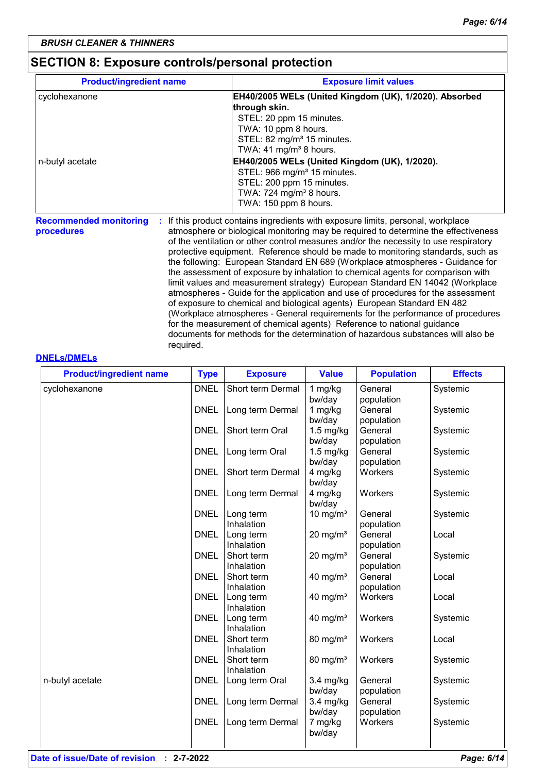## **SECTION 8: Exposure controls/personal protection**

| <b>Product/ingredient name</b> | <b>Exposure limit values</b>                           |
|--------------------------------|--------------------------------------------------------|
| cyclohexanone                  | EH40/2005 WELs (United Kingdom (UK), 1/2020). Absorbed |
|                                | through skin.                                          |
|                                | STEL: 20 ppm 15 minutes.                               |
|                                | TWA: 10 ppm 8 hours.                                   |
|                                | STEL: 82 mg/m <sup>3</sup> 15 minutes.                 |
|                                | TWA: 41 mg/m <sup>3</sup> 8 hours.                     |
| n-butyl acetate                | EH40/2005 WELs (United Kingdom (UK), 1/2020).          |
|                                | STEL: 966 mg/m <sup>3</sup> 15 minutes.                |
|                                | STEL: 200 ppm 15 minutes.                              |
|                                | TWA: 724 mg/m <sup>3</sup> 8 hours.                    |
|                                | TWA: 150 ppm 8 hours.                                  |

**Recommended monitoring procedures :** If this product contains ingredients with exposure limits, personal, workplace atmosphere or biological monitoring may be required to determine the effectiveness of the ventilation or other control measures and/or the necessity to use respiratory protective equipment. Reference should be made to monitoring standards, such as the following: European Standard EN 689 (Workplace atmospheres - Guidance for the assessment of exposure by inhalation to chemical agents for comparison with limit values and measurement strategy) European Standard EN 14042 (Workplace atmospheres - Guide for the application and use of procedures for the assessment of exposure to chemical and biological agents) European Standard EN 482 (Workplace atmospheres - General requirements for the performance of procedures for the measurement of chemical agents) Reference to national guidance documents for methods for the determination of hazardous substances will also be required.

#### **DNELs/DMELs**

| <b>Product/ingredient name</b> | <b>Type</b> | <b>Exposure</b>          | <b>Value</b>           | <b>Population</b>     | <b>Effects</b> |
|--------------------------------|-------------|--------------------------|------------------------|-----------------------|----------------|
| cyclohexanone                  | <b>DNEL</b> | Short term Dermal        | 1 mg/kg<br>bw/day      | General<br>population | Systemic       |
|                                | <b>DNEL</b> | Long term Dermal         | 1 mg/kg<br>bw/day      | General<br>population | Systemic       |
|                                | <b>DNEL</b> | Short term Oral          | $1.5$ mg/kg<br>bw/day  | General<br>population | Systemic       |
|                                | <b>DNEL</b> | Long term Oral           | $1.5$ mg/kg<br>bw/day  | General<br>population | Systemic       |
|                                | <b>DNEL</b> | Short term Dermal        | 4 mg/kg<br>bw/day      | Workers               | Systemic       |
|                                | <b>DNEL</b> | Long term Dermal         | 4 mg/kg<br>bw/day      | Workers               | Systemic       |
|                                | <b>DNEL</b> | Long term<br>Inhalation  | 10 mg/m $3$            | General<br>population | Systemic       |
|                                | <b>DNEL</b> | Long term<br>Inhalation  | $20 \text{ mg/m}^3$    | General<br>population | Local          |
|                                | <b>DNEL</b> | Short term<br>Inhalation | $20 \text{ mg/m}^3$    | General<br>population | Systemic       |
|                                | <b>DNEL</b> | Short term<br>Inhalation | $40$ mg/m <sup>3</sup> | General<br>population | Local          |
|                                | <b>DNEL</b> | Long term<br>Inhalation  | 40 mg/ $m3$            | Workers               | Local          |
|                                | <b>DNEL</b> | Long term<br>Inhalation  | $40$ mg/m <sup>3</sup> | Workers               | Systemic       |
|                                | <b>DNEL</b> | Short term<br>Inhalation | $80 \text{ mg/m}^3$    | Workers               | Local          |
|                                | <b>DNEL</b> | Short term<br>Inhalation | $80 \text{ mg/m}^3$    | Workers               | Systemic       |
| n-butyl acetate                | <b>DNEL</b> | Long term Oral           | $3.4$ mg/kg<br>bw/day  | General<br>population | Systemic       |
|                                | <b>DNEL</b> | Long term Dermal         | $3.4$ mg/kg<br>bw/day  | General<br>population | Systemic       |
|                                | <b>DNEL</b> | Long term Dermal         | 7 mg/kg<br>bw/day      | Workers               | Systemic       |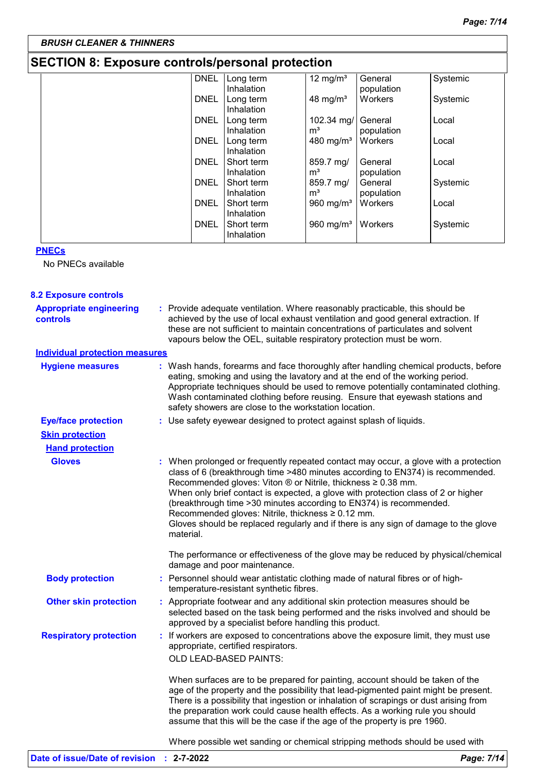## **SECTION 8: Exposure controls/personal protection**

| <b>DNEL</b> | Long term  | 12 mg/ $m3$           | General    | Systemic |
|-------------|------------|-----------------------|------------|----------|
|             | Inhalation |                       | population |          |
| <b>DNEL</b> | Long term  | 48 mg/m <sup>3</sup>  | Workers    | Systemic |
|             | Inhalation |                       |            |          |
| <b>DNEL</b> | Long term  | 102.34 mg/            | General    | Local    |
|             | Inhalation | m <sup>3</sup>        | population |          |
| <b>DNEL</b> | Long term  | 480 mg/ $m3$          | Workers    | Local    |
|             | Inhalation |                       |            |          |
| <b>DNEL</b> | Short term | 859.7 mg/             | General    | Local    |
|             | Inhalation | m <sup>3</sup>        | population |          |
| <b>DNEL</b> | Short term | 859.7 mg/             | General    | Systemic |
|             | Inhalation | m <sup>3</sup>        | population |          |
| <b>DNEL</b> | Short term | 960 mg/m <sup>3</sup> | Workers    | Local    |
|             | Inhalation |                       |            |          |
| <b>DNEL</b> | Short term | 960 mg/m <sup>3</sup> | Workers    | Systemic |
|             | Inhalation |                       |            |          |
|             |            |                       |            |          |

#### **PNECs**

No PNECs available

| <b>8.2 Exposure controls</b>               |                                                                                                                                                                                                                                                                                                                                                                                                                                                                                                                                                                              |
|--------------------------------------------|------------------------------------------------------------------------------------------------------------------------------------------------------------------------------------------------------------------------------------------------------------------------------------------------------------------------------------------------------------------------------------------------------------------------------------------------------------------------------------------------------------------------------------------------------------------------------|
| <b>Appropriate engineering</b><br>controls | : Provide adequate ventilation. Where reasonably practicable, this should be<br>achieved by the use of local exhaust ventilation and good general extraction. If<br>these are not sufficient to maintain concentrations of particulates and solvent<br>vapours below the OEL, suitable respiratory protection must be worn.                                                                                                                                                                                                                                                  |
| <b>Individual protection measures</b>      |                                                                                                                                                                                                                                                                                                                                                                                                                                                                                                                                                                              |
| <b>Hygiene measures</b>                    | : Wash hands, forearms and face thoroughly after handling chemical products, before<br>eating, smoking and using the lavatory and at the end of the working period.<br>Appropriate techniques should be used to remove potentially contaminated clothing.<br>Wash contaminated clothing before reusing. Ensure that eyewash stations and<br>safety showers are close to the workstation location.                                                                                                                                                                            |
| <b>Eye/face protection</b>                 | : Use safety eyewear designed to protect against splash of liquids.                                                                                                                                                                                                                                                                                                                                                                                                                                                                                                          |
| <b>Skin protection</b>                     |                                                                                                                                                                                                                                                                                                                                                                                                                                                                                                                                                                              |
| <b>Hand protection</b>                     |                                                                                                                                                                                                                                                                                                                                                                                                                                                                                                                                                                              |
| <b>Gloves</b>                              | : When prolonged or frequently repeated contact may occur, a glove with a protection<br>class of 6 (breakthrough time >480 minutes according to EN374) is recommended.<br>Recommended gloves: Viton $\circledast$ or Nitrile, thickness $\geq 0.38$ mm.<br>When only brief contact is expected, a glove with protection class of 2 or higher<br>(breakthrough time > 30 minutes according to EN374) is recommended.<br>Recommended gloves: Nitrile, thickness ≥ 0.12 mm.<br>Gloves should be replaced regularly and if there is any sign of damage to the glove<br>material. |
|                                            | The performance or effectiveness of the glove may be reduced by physical/chemical<br>damage and poor maintenance.                                                                                                                                                                                                                                                                                                                                                                                                                                                            |
| <b>Body protection</b>                     | : Personnel should wear antistatic clothing made of natural fibres or of high-<br>temperature-resistant synthetic fibres.                                                                                                                                                                                                                                                                                                                                                                                                                                                    |
| <b>Other skin protection</b>               | : Appropriate footwear and any additional skin protection measures should be<br>selected based on the task being performed and the risks involved and should be<br>approved by a specialist before handling this product.                                                                                                                                                                                                                                                                                                                                                    |
| <b>Respiratory protection</b>              | : If workers are exposed to concentrations above the exposure limit, they must use<br>appropriate, certified respirators.<br>OLD LEAD-BASED PAINTS:                                                                                                                                                                                                                                                                                                                                                                                                                          |
|                                            | When surfaces are to be prepared for painting, account should be taken of the<br>age of the property and the possibility that lead-pigmented paint might be present.<br>There is a possibility that ingestion or inhalation of scrapings or dust arising from<br>the preparation work could cause health effects. As a working rule you should<br>assume that this will be the case if the age of the property is pre 1960.                                                                                                                                                  |
|                                            | Where possible wet sanding or chemical stripping methods should be used with                                                                                                                                                                                                                                                                                                                                                                                                                                                                                                 |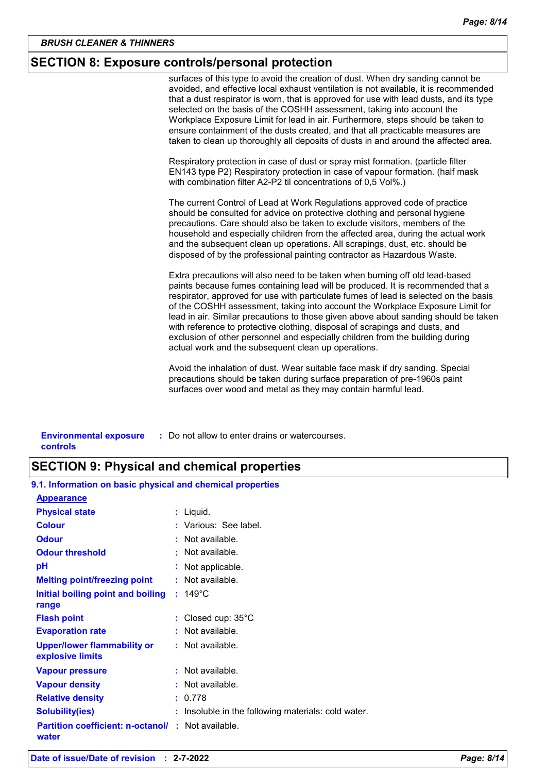## **SECTION 8: Exposure controls/personal protection**

surfaces of this type to avoid the creation of dust. When dry sanding cannot be avoided, and effective local exhaust ventilation is not available, it is recommended that a dust respirator is worn, that is approved for use with lead dusts, and its type selected on the basis of the COSHH assessment, taking into account the Workplace Exposure Limit for lead in air. Furthermore, steps should be taken to ensure containment of the dusts created, and that all practicable measures are taken to clean up thoroughly all deposits of dusts in and around the affected area.

Respiratory protection in case of dust or spray mist formation. (particle filter EN143 type P2) Respiratory protection in case of vapour formation. (half mask with combination filter A2-P2 til concentrations of 0,5 Vol%.)

The current Control of Lead at Work Regulations approved code of practice should be consulted for advice on protective clothing and personal hygiene precautions. Care should also be taken to exclude visitors, members of the household and especially children from the affected area, during the actual work and the subsequent clean up operations. All scrapings, dust, etc. should be disposed of by the professional painting contractor as Hazardous Waste.

Extra precautions will also need to be taken when burning off old lead-based paints because fumes containing lead will be produced. It is recommended that a respirator, approved for use with particulate fumes of lead is selected on the basis of the COSHH assessment, taking into account the Workplace Exposure Limit for lead in air. Similar precautions to those given above about sanding should be taken with reference to protective clothing, disposal of scrapings and dusts, and exclusion of other personnel and especially children from the building during actual work and the subsequent clean up operations.

Avoid the inhalation of dust. Wear suitable face mask if dry sanding. Special precautions should be taken during surface preparation of pre-1960s paint surfaces over wood and metal as they may contain harmful lead.

| <b>Environmental exposure</b> | : Do not allow to enter drains or watercourses. |
|-------------------------------|-------------------------------------------------|
| controls                      |                                                 |

## **SECTION 9: Physical and chemical properties**

| 9.1. Information on basic physical and chemical properties         |                                                     |
|--------------------------------------------------------------------|-----------------------------------------------------|
| <b>Appearance</b>                                                  |                                                     |
| <b>Physical state</b>                                              | : Liquid.                                           |
| <b>Colour</b>                                                      | : Various: See label.                               |
| <b>Odour</b>                                                       | : Not available.                                    |
| <b>Odour threshold</b>                                             | $\pm$ Not available.                                |
| рH                                                                 | Not applicable.                                     |
| <b>Melting point/freezing point</b>                                | $:$ Not available.                                  |
| Initial boiling point and boiling<br>range                         | $: 149^{\circ}$ C                                   |
| <b>Flash point</b>                                                 | : Closed cup: $35^{\circ}$ C                        |
| <b>Evaporation rate</b>                                            | : Not available.                                    |
| <b>Upper/lower flammability or</b><br>explosive limits             | : Not available.                                    |
| <b>Vapour pressure</b>                                             | : Not available.                                    |
| <b>Vapour density</b>                                              | $:$ Not available.                                  |
| <b>Relative density</b>                                            | : 0.778                                             |
| <b>Solubility(ies)</b>                                             | : Insoluble in the following materials: cold water. |
| <b>Partition coefficient: n-octanol/ : Not available.</b><br>water |                                                     |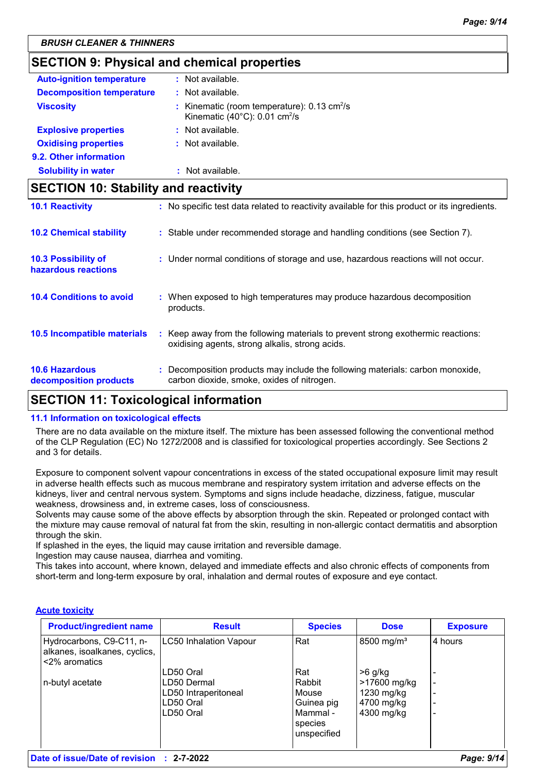## **SECTION 9: Physical and chemical properties**

| <b>Auto-ignition temperature</b> | : Not available.                                                                                                     |
|----------------------------------|----------------------------------------------------------------------------------------------------------------------|
| <b>Decomposition temperature</b> | $:$ Not available.                                                                                                   |
| <b>Viscosity</b>                 | : Kinematic (room temperature): $0.13 \text{ cm}^2/\text{s}$<br>Kinematic (40 $^{\circ}$ C): 0.01 cm <sup>2</sup> /s |
| <b>Explosive properties</b>      | : Not available.                                                                                                     |
| <b>Oxidising properties</b>      | : Not available.                                                                                                     |
| 9.2. Other information           |                                                                                                                      |
| <b>Solubility in water</b>       | : Not available.                                                                                                     |

## **SECTION 10: Stability and reactivity**

| <b>10.6 Hazardous</b><br>decomposition products   | Decomposition products may include the following materials: carbon monoxide,<br>carbon dioxide, smoke, oxides of nitrogen.          |
|---------------------------------------------------|-------------------------------------------------------------------------------------------------------------------------------------|
| 10.5 Incompatible materials                       | : Keep away from the following materials to prevent strong exothermic reactions:<br>oxidising agents, strong alkalis, strong acids. |
| <b>10.4 Conditions to avoid</b>                   | : When exposed to high temperatures may produce hazardous decomposition<br>products.                                                |
| <b>10.3 Possibility of</b><br>hazardous reactions | : Under normal conditions of storage and use, hazardous reactions will not occur.                                                   |
| <b>10.2 Chemical stability</b>                    | : Stable under recommended storage and handling conditions (see Section 7).                                                         |
| <b>10.1 Reactivity</b>                            | : No specific test data related to reactivity available for this product or its ingredients.                                        |

## **SECTION 11: Toxicological information**

#### **11.1 Information on toxicological effects**

There are no data available on the mixture itself. The mixture has been assessed following the conventional method of the CLP Regulation (EC) No 1272/2008 and is classified for toxicological properties accordingly. See Sections 2 and 3 for details.

Exposure to component solvent vapour concentrations in excess of the stated occupational exposure limit may result in adverse health effects such as mucous membrane and respiratory system irritation and adverse effects on the kidneys, liver and central nervous system. Symptoms and signs include headache, dizziness, fatigue, muscular weakness, drowsiness and, in extreme cases, loss of consciousness.

Solvents may cause some of the above effects by absorption through the skin. Repeated or prolonged contact with the mixture may cause removal of natural fat from the skin, resulting in non-allergic contact dermatitis and absorption through the skin.

If splashed in the eyes, the liquid may cause irritation and reversible damage.

Ingestion may cause nausea, diarrhea and vomiting.

This takes into account, where known, delayed and immediate effects and also chronic effects of components from short-term and long-term exposure by oral, inhalation and dermal routes of exposure and eye contact.

#### **Acute toxicity**

| <b>Product/ingredient name</b>                                             | <b>Result</b>          | <b>Species</b> | <b>Dose</b>            | <b>Exposure</b> |
|----------------------------------------------------------------------------|------------------------|----------------|------------------------|-----------------|
| Hydrocarbons, C9-C11, n-<br>alkanes, isoalkanes, cyclics,<br><2% aromatics | LC50 Inhalation Vapour | Rat            | 8500 mg/m <sup>3</sup> | 4 hours         |
|                                                                            | LD50 Oral              | Rat            | $>6$ g/kg              |                 |
| n-butyl acetate                                                            | LD50 Dermal            | Rabbit         | >17600 mg/kg           |                 |
|                                                                            | LD50 Intraperitoneal   | Mouse          | 1230 mg/kg             |                 |
|                                                                            | LD50 Oral              | Guinea pig     | 4700 mg/kg             |                 |
|                                                                            | LD50 Oral              | Mammal -       | 4300 mg/kg             |                 |
|                                                                            |                        | species        |                        |                 |
|                                                                            |                        | unspecified    |                        |                 |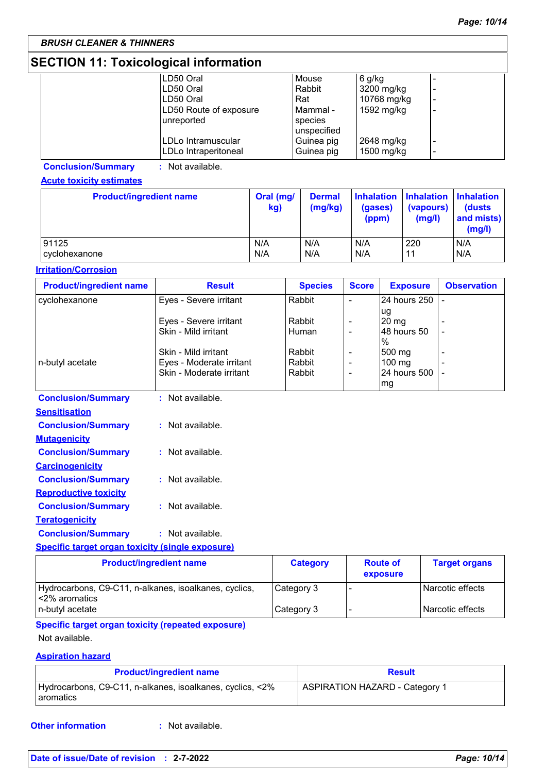## **SECTION 11: Toxicological information**

| LD50 Oral              | Mouse       | $6$ g/kg    |   |
|------------------------|-------------|-------------|---|
| LD50 Oral              | Rabbit      | 3200 mg/kg  |   |
| LD50 Oral              | Rat         | 10768 mg/kg | - |
| LD50 Route of exposure | Mammal -    | 1592 mg/kg  |   |
| unreported             | species     |             |   |
|                        | unspecified |             |   |
| LDLo Intramuscular     | Guinea pig  | 2648 mg/kg  |   |
| LDLo Intraperitoneal   | Guinea pig  | 1500 mg/kg  |   |

**Conclusion/Summary :** Not available.

#### **Acute toxicity estimates**

| <b>Product/ingredient name</b> | Oral (mg/<br>kg) | <b>Dermal</b><br>(mg/kg) | (gases)<br>(ppm) | Inhalation   Inhalation   Inhalation<br>(vapours)<br>(mg/l) | (dusts)<br>and mists)<br>(mg/l) |
|--------------------------------|------------------|--------------------------|------------------|-------------------------------------------------------------|---------------------------------|
| 91125                          | N/A              | N/A                      | N/A              | 220                                                         | N/A                             |
| cyclohexanone                  | N/A              | N/A                      | N/A              | 11                                                          | N/A                             |

#### **Irritation/Corrosion**

| <b>Product/ingredient name</b>                          | <b>Result</b>                  | <b>Species</b>   | <b>Score</b>             | <b>Exposure</b>  | <b>Observation</b>   |
|---------------------------------------------------------|--------------------------------|------------------|--------------------------|------------------|----------------------|
| cyclohexanone                                           | Eyes - Severe irritant         | Rabbit           |                          | 24 hours 250     |                      |
|                                                         |                                |                  |                          | ug               |                      |
|                                                         | Eyes - Severe irritant         | Rabbit           |                          | $20 \text{ mg}$  |                      |
|                                                         | Skin - Mild irritant           | Human            |                          | 48 hours 50      |                      |
|                                                         | Skin - Mild irritant           |                  |                          | $\%$             |                      |
| n-butyl acetate                                         | Eyes - Moderate irritant       | Rabbit<br>Rabbit |                          | 500 mg<br>100 mg |                      |
|                                                         | Skin - Moderate irritant       | Rabbit           | $\overline{\phantom{a}}$ | 24 hours 500     |                      |
|                                                         |                                |                  |                          | mg               |                      |
|                                                         | : Not available.               |                  |                          |                  |                      |
| <b>Conclusion/Summary</b>                               |                                |                  |                          |                  |                      |
| <b>Sensitisation</b>                                    |                                |                  |                          |                  |                      |
| <b>Conclusion/Summary</b>                               | : Not available.               |                  |                          |                  |                      |
| <b>Mutagenicity</b>                                     |                                |                  |                          |                  |                      |
| <b>Conclusion/Summary</b>                               | : Not available.               |                  |                          |                  |                      |
| <b>Carcinogenicity</b>                                  |                                |                  |                          |                  |                      |
| <b>Conclusion/Summary</b>                               | : Not available.               |                  |                          |                  |                      |
| <b>Reproductive toxicity</b>                            |                                |                  |                          |                  |                      |
| <b>Conclusion/Summary</b>                               | $:$ Not available.             |                  |                          |                  |                      |
| <b>Teratogenicity</b>                                   |                                |                  |                          |                  |                      |
| <b>Conclusion/Summary</b>                               | : Not available.               |                  |                          |                  |                      |
| <b>Specific target organ toxicity (single exposure)</b> |                                |                  |                          |                  |                      |
|                                                         | <b>Product/ingredient name</b> | <b>Category</b>  |                          | <b>Route of</b>  | <b>Target organs</b> |

|                                                                          | .          | exposure |                  |
|--------------------------------------------------------------------------|------------|----------|------------------|
| Hydrocarbons, C9-C11, n-alkanes, isoalkanes, cyclics,<br>l <2% aromatics | Category 3 |          | Narcotic effects |
| n-butyl acetate                                                          | Category 3 |          | Narcotic effects |
|                                                                          |            |          |                  |

#### **Specific target organ toxicity (repeated exposure)**

#### Not available.

#### **Aspiration hazard**

| <b>Product/ingredient name</b>                                           | <b>Result</b>                  |
|--------------------------------------------------------------------------|--------------------------------|
| Hydrocarbons, C9-C11, n-alkanes, isoalkanes, cyclics, <2%<br>l aromatics | ASPIRATION HAZARD - Category 1 |

**Other information :**

: Not available.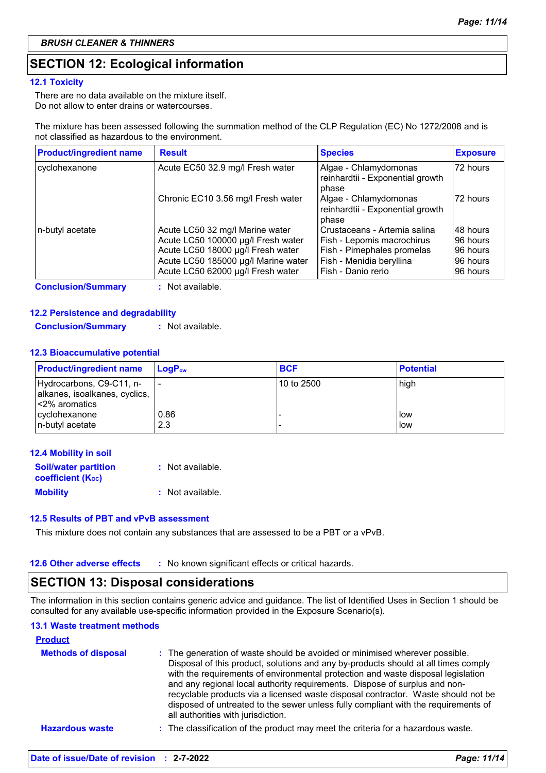## **SECTION 12: Ecological information**

#### **12.1 Toxicity**

There are no data available on the mixture itself. Do not allow to enter drains or watercourses.

The mixture has been assessed following the summation method of the CLP Regulation (EC) No 1272/2008 and is not classified as hazardous to the environment.

| <b>Product/ingredient name</b> | <b>Result</b>                       | <b>Species</b>                                                     | <b>Exposure</b> |
|--------------------------------|-------------------------------------|--------------------------------------------------------------------|-----------------|
| cyclohexanone                  | Acute EC50 32.9 mg/l Fresh water    | Algae - Chlamydomonas<br>reinhardtii - Exponential growth<br>phase | 172 hours       |
|                                | Chronic EC10 3.56 mg/l Fresh water  | Algae - Chlamydomonas<br>reinhardtii - Exponential growth<br>phase | 172 hours       |
| n-butyl acetate                | Acute LC50 32 mg/l Marine water     | Crustaceans - Artemia salina                                       | 48 hours        |
|                                | Acute LC50 100000 µg/l Fresh water  | Fish - Lepomis macrochirus                                         | 96 hours        |
|                                | Acute LC50 18000 µg/l Fresh water   | Fish - Pimephales promelas                                         | 96 hours        |
|                                | Acute LC50 185000 µg/l Marine water | Fish - Menidia beryllina                                           | I96 hours       |
|                                | Acute LC50 62000 µg/l Fresh water   | Fish - Danio rerio                                                 | 96 hours        |

**Conclusion/Summary :** Not available.

#### **12.2 Persistence and degradability**

**Conclusion/Summary :** Not available.

#### **12.3 Bioaccumulative potential**

| <b>Product/ingredient name</b> | $LoaPow$ | <b>BCF</b> | <b>Potential</b> |
|--------------------------------|----------|------------|------------------|
| Hydrocarbons, C9-C11, n-       |          | 10 to 2500 | high             |
| alkanes, isoalkanes, cyclics,  |          |            |                  |
| l<2% aromatics                 |          |            |                  |
| cyclohexanone                  | 0.86     |            | <b>l</b> ow      |
| n-butyl acetate                | 2.3      |            | low              |

| <b>12.4 Mobility in soil</b>                                         |                  |
|----------------------------------------------------------------------|------------------|
| <b>Soil/water partition</b><br><b>coefficient</b> (K <sub>oc</sub> ) | : Not available. |
| <b>Mobility</b>                                                      | : Not available. |
|                                                                      |                  |

#### **12.5 Results of PBT and vPvB assessment**

This mixture does not contain any substances that are assessed to be a PBT or a vPvB.

## **SECTION 13: Disposal considerations**

The information in this section contains generic advice and guidance. The list of Identified Uses in Section 1 should be consulted for any available use-specific information provided in the Exposure Scenario(s).

#### **13.1 Waste treatment methods**

| : The generation of waste should be avoided or minimised wherever possible.<br>Disposal of this product, solutions and any by-products should at all times comply<br>with the requirements of environmental protection and waste disposal legislation<br>and any regional local authority requirements. Dispose of surplus and non-<br>recyclable products via a licensed waste disposal contractor. Waste should not be<br>disposed of untreated to the sewer unless fully compliant with the requirements of<br>all authorities with jurisdiction. |
|------------------------------------------------------------------------------------------------------------------------------------------------------------------------------------------------------------------------------------------------------------------------------------------------------------------------------------------------------------------------------------------------------------------------------------------------------------------------------------------------------------------------------------------------------|
| : The classification of the product may meet the criteria for a hazardous waste.                                                                                                                                                                                                                                                                                                                                                                                                                                                                     |
|                                                                                                                                                                                                                                                                                                                                                                                                                                                                                                                                                      |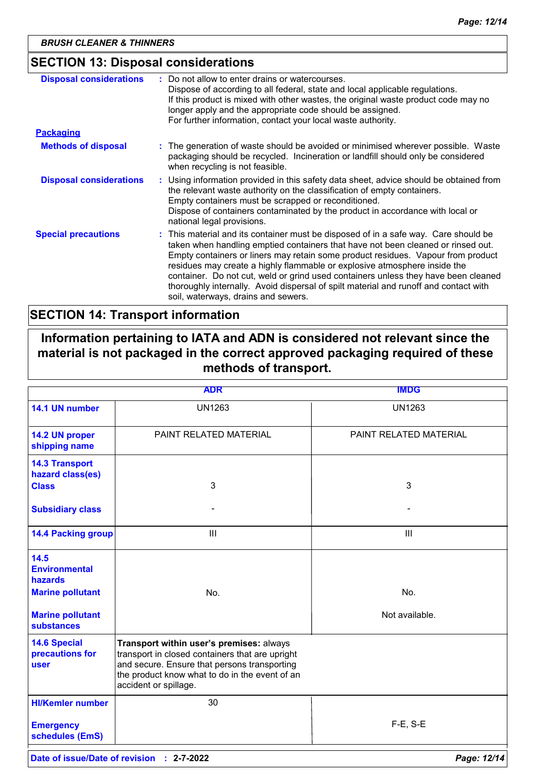## **SECTION 13: Disposal considerations**

| <b>Disposal considerations</b> | Do not allow to enter drains or watercourses.<br>Dispose of according to all federal, state and local applicable regulations.<br>If this product is mixed with other wastes, the original waste product code may no<br>longer apply and the appropriate code should be assigned.<br>For further information, contact your local waste authority.                                                                                                                                                                                                              |
|--------------------------------|---------------------------------------------------------------------------------------------------------------------------------------------------------------------------------------------------------------------------------------------------------------------------------------------------------------------------------------------------------------------------------------------------------------------------------------------------------------------------------------------------------------------------------------------------------------|
| <b>Packaging</b>               |                                                                                                                                                                                                                                                                                                                                                                                                                                                                                                                                                               |
| <b>Methods of disposal</b>     | : The generation of waste should be avoided or minimised wherever possible. Waste<br>packaging should be recycled. Incineration or landfill should only be considered<br>when recycling is not feasible.                                                                                                                                                                                                                                                                                                                                                      |
| <b>Disposal considerations</b> | : Using information provided in this safety data sheet, advice should be obtained from<br>the relevant waste authority on the classification of empty containers.<br>Empty containers must be scrapped or reconditioned.<br>Dispose of containers contaminated by the product in accordance with local or<br>national legal provisions.                                                                                                                                                                                                                       |
| <b>Special precautions</b>     | : This material and its container must be disposed of in a safe way. Care should be<br>taken when handling emptied containers that have not been cleaned or rinsed out.<br>Empty containers or liners may retain some product residues. Vapour from product<br>residues may create a highly flammable or explosive atmosphere inside the<br>container. Do not cut, weld or grind used containers unless they have been cleaned<br>thoroughly internally. Avoid dispersal of spilt material and runoff and contact with<br>soil, waterways, drains and sewers. |

## **SECTION 14: Transport information**

**Information pertaining to IATA and ADN is considered not relevant since the material is not packaged in the correct approved packaging required of these methods of transport.**

|                                                           | <b>ADR</b>                                                                                                                                                                                                             | <b>IMDG</b>            |
|-----------------------------------------------------------|------------------------------------------------------------------------------------------------------------------------------------------------------------------------------------------------------------------------|------------------------|
| 14.1 UN number                                            | <b>UN1263</b>                                                                                                                                                                                                          | <b>UN1263</b>          |
| 14.2 UN proper<br>shipping name                           | PAINT RELATED MATERIAL                                                                                                                                                                                                 | PAINT RELATED MATERIAL |
| <b>14.3 Transport</b><br>hazard class(es)<br><b>Class</b> | 3                                                                                                                                                                                                                      | 3                      |
|                                                           |                                                                                                                                                                                                                        |                        |
| <b>Subsidiary class</b>                                   |                                                                                                                                                                                                                        |                        |
| <b>14.4 Packing group</b>                                 | III                                                                                                                                                                                                                    | III                    |
| 14.5<br><b>Environmental</b><br><b>hazards</b>            |                                                                                                                                                                                                                        |                        |
| <b>Marine pollutant</b>                                   | No.                                                                                                                                                                                                                    | No.                    |
| <b>Marine pollutant</b><br>substances                     |                                                                                                                                                                                                                        | Not available.         |
| <b>14.6 Special</b><br>precautions for<br><b>user</b>     | Transport within user's premises: always<br>transport in closed containers that are upright<br>and secure. Ensure that persons transporting<br>the product know what to do in the event of an<br>accident or spillage. |                        |
| <b>HI/Kemler number</b>                                   | 30                                                                                                                                                                                                                     |                        |
| <b>Emergency</b><br>schedules (EmS)                       |                                                                                                                                                                                                                        | $F-E$ , S-E            |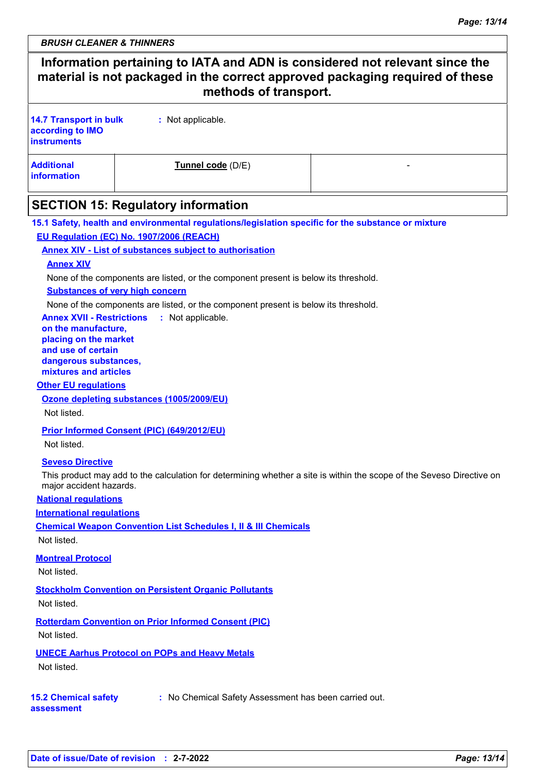## **Information pertaining to IATA and ADN is considered not relevant since the material is not packaged in the correct approved packaging required of these methods of transport. :** Not applicable. **14.7 Transport in bulk according to IMO instruments**

| <b>Additional</b> | Tunnel code (D/E) |  |
|-------------------|-------------------|--|
| information       |                   |  |

## **SECTION 15: Regulatory information**

**15.1 Safety, health and environmental regulations/legislation specific for the substance or mixture EU Regulation (EC) No. 1907/2006 (REACH)**

**Annex XIV - List of substances subject to authorisation**

#### **Annex XIV**

None of the components are listed, or the component present is below its threshold.

**Substances of very high concern**

None of the components are listed, or the component present is below its threshold.

**Annex XVII - Restrictions** : Not applicable.

**on the manufacture, placing on the market and use of certain dangerous substances,**

**mixtures and articles**

**Other EU regulations**

**Ozone depleting substances (1005/2009/EU)**

Not listed.

**Prior Informed Consent (PIC) (649/2012/EU)**

Not listed.

#### **Seveso Directive**

This product may add to the calculation for determining whether a site is within the scope of the Seveso Directive on major accident hazards.

**National regulations**

**International regulations**

**Chemical Weapon Convention List Schedules I, II & III Chemicals**

Not listed.

**Montreal Protocol**

Not listed.

**Stockholm Convention on Persistent Organic Pollutants** Not listed.

**Rotterdam Convention on Prior Informed Consent (PIC)** Not listed.

**UNECE Aarhus Protocol on POPs and Heavy Metals**

Not listed.

**15.2 Chemical safety assessment**

**:** No Chemical Safety Assessment has been carried out.